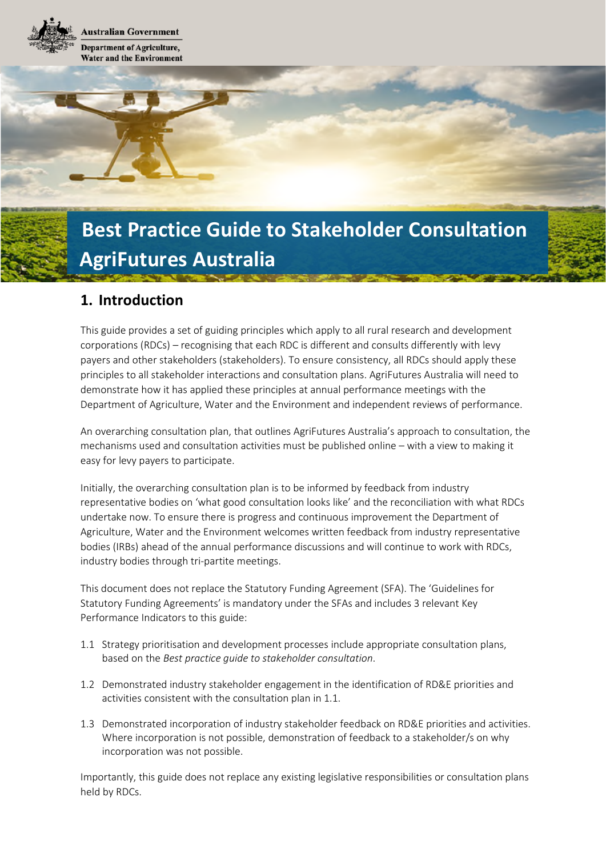**Australian Government Department of Agriculture, Water and the Environment** 

# **Best Practice Guide to Stakeholder Consultation AgriFutures Australia**

## **1. Introduction**

This guide provides a set of guiding principles which apply to all rural research and development corporations (RDCs) – recognising that each RDC is different and consults differently with levy payers and other stakeholders (stakeholders). To ensure consistency, all RDCs should apply these principles to all stakeholder interactions and consultation plans. AgriFutures Australia will need to demonstrate how it has applied these principles at annual performance meetings with the Department of Agriculture, Water and the Environment and independent reviews of performance.

An overarching consultation plan, that outlines AgriFutures Australia's approach to consultation, the mechanisms used and consultation activities must be published online – with a view to making it easy for levy payers to participate.

Initially, the overarching consultation plan is to be informed by feedback from industry representative bodies on 'what good consultation looks like' and the reconciliation with what RDCs undertake now. To ensure there is progress and continuous improvement the Department of Agriculture, Water and the Environment welcomes written feedback from industry representative bodies (IRBs) ahead of the annual performance discussions and will continue to work with RDCs, industry bodies through tri-partite meetings.

This document does not replace the Statutory Funding Agreement (SFA). The 'Guidelines for Statutory Funding Agreements' is mandatory under the SFAs and includes 3 relevant Key Performance Indicators to this guide:

- 1.1 Strategy prioritisation and development processes include appropriate consultation plans, based on the *Best practice guide to stakeholder consultation*.
- 1.2 Demonstrated industry stakeholder engagement in the identification of RD&E priorities and activities consistent with the consultation plan in 1.1.
- 1.3 Demonstrated incorporation of industry stakeholder feedback on RD&E priorities and activities. Where incorporation is not possible, demonstration of feedback to a stakeholder/s on why incorporation was not possible.

Importantly, this guide does not replace any existing legislative responsibilities or consultation plans held by RDCs.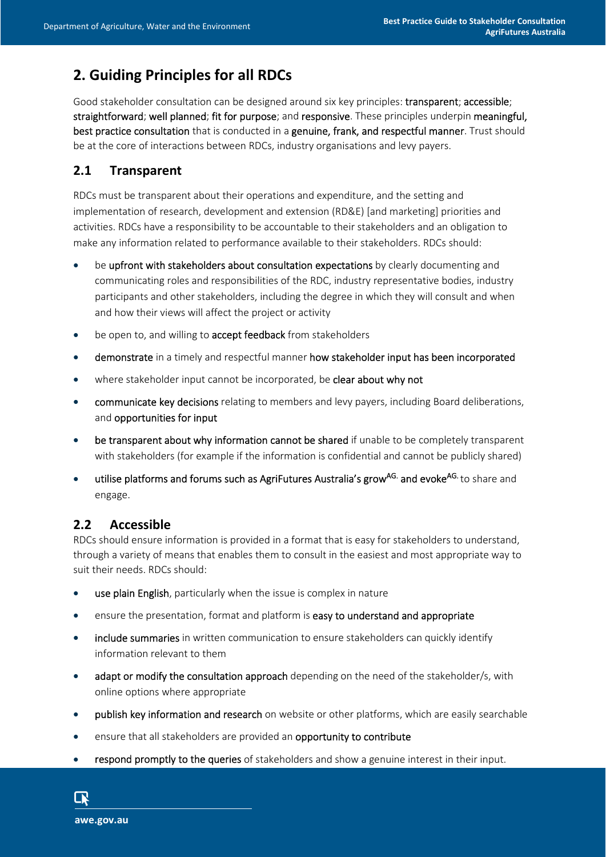## **2. Guiding Principles for all RDCs**

Good stakeholder consultation can be designed around six key principles: transparent; accessible; straightforward; well planned; fit for purpose; and responsive. These principles underpin meaningful, best practice consultation that is conducted in a genuine, frank, and respectful manner. Trust should be at the core of interactions between RDCs, industry organisations and levy payers.

#### **2.1 Transparent**

RDCs must be transparent about their operations and expenditure, and the setting and implementation of research, development and extension (RD&E) [and marketing] priorities and activities. RDCs have a responsibility to be accountable to their stakeholders and an obligation to make any information related to performance available to their stakeholders. RDCs should:

- be upfront with stakeholders about consultation expectations by clearly documenting and communicating roles and responsibilities of the RDC, industry representative bodies, industry participants and other stakeholders, including the degree in which they will consult and when and how their views will affect the project or activity
- be open to, and willing to **accept feedback** from stakeholders
- demonstrate in a timely and respectful manner how stakeholder input has been incorporated
- where stakeholder input cannot be incorporated, be clear about why not
- communicate key decisions relating to members and levy payers, including Board deliberations, and opportunities for input
- be transparent about why information cannot be shared if unable to be completely transparent with stakeholders (for example if the information is confidential and cannot be publicly shared)
- utilise platforms and forums such as AgriFutures Australia's grow<sup>AG.</sup> and evoke<sup>AG.</sup> to share and engage.

## **2.2 Accessible**

RDCs should ensure information is provided in a format that is easy for stakeholders to understand, through a variety of means that enables them to consult in the easiest and most appropriate way to suit their needs. RDCs should:

- **use plain English**, particularly when the issue is complex in nature
- ensure the presentation, format and platform is easy to understand and appropriate
- include summaries in written communication to ensure stakeholders can quickly identify information relevant to them
- adapt or modify the consultation approach depending on the need of the stakeholder/s, with online options where appropriate
- **•** publish key information and research on website or other platforms, which are easily searchable
- **e** ensure that all stakeholders are provided an **opportunity to contribute**
- respond promptly to the queries of stakeholders and show a genuine interest in their input.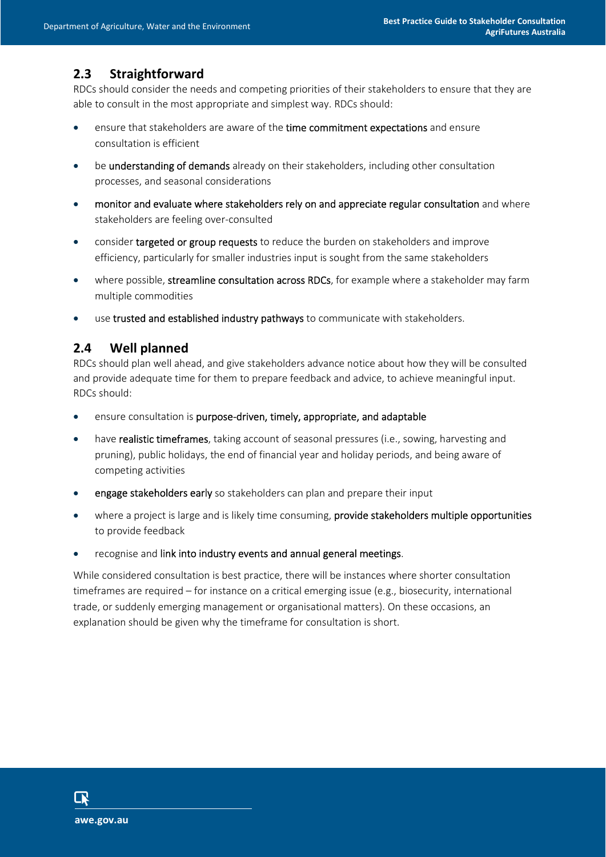### **2.3 Straightforward**

RDCs should consider the needs and competing priorities of their stakeholders to ensure that they are able to consult in the most appropriate and simplest way. RDCs should:

- ensure that stakeholders are aware of the time commitment expectations and ensure consultation is efficient
- **•** be understanding of demands already on their stakeholders, including other consultation processes, and seasonal considerations
- monitor and evaluate where stakeholders rely on and appreciate regular consultation and where stakeholders are feeling over-consulted
- consider targeted or group requests to reduce the burden on stakeholders and improve efficiency, particularly for smaller industries input is sought from the same stakeholders
- where possible, streamline consultation across RDCs, for example where a stakeholder may farm multiple commodities
- use trusted and established industry pathways to communicate with stakeholders.

#### **2.4 Well planned**

RDCs should plan well ahead, and give stakeholders advance notice about how they will be consulted and provide adequate time for them to prepare feedback and advice, to achieve meaningful input. RDCs should:

- ensure consultation is purpose-driven, timely, appropriate, and adaptable
- have realistic timeframes, taking account of seasonal pressures (i.e., sowing, harvesting and pruning), public holidays, the end of financial year and holiday periods, and being aware of competing activities
- **e** engage stakeholders early so stakeholders can plan and prepare their input
- where a project is large and is likely time consuming, provide stakeholders multiple opportunities to provide feedback
- recognise and link into industry events and annual general meetings.

While considered consultation is best practice, there will be instances where shorter consultation timeframes are required – for instance on a critical emerging issue (e.g., biosecurity, international trade, or suddenly emerging management or organisational matters). On these occasions, an explanation should be given why the timeframe for consultation is short.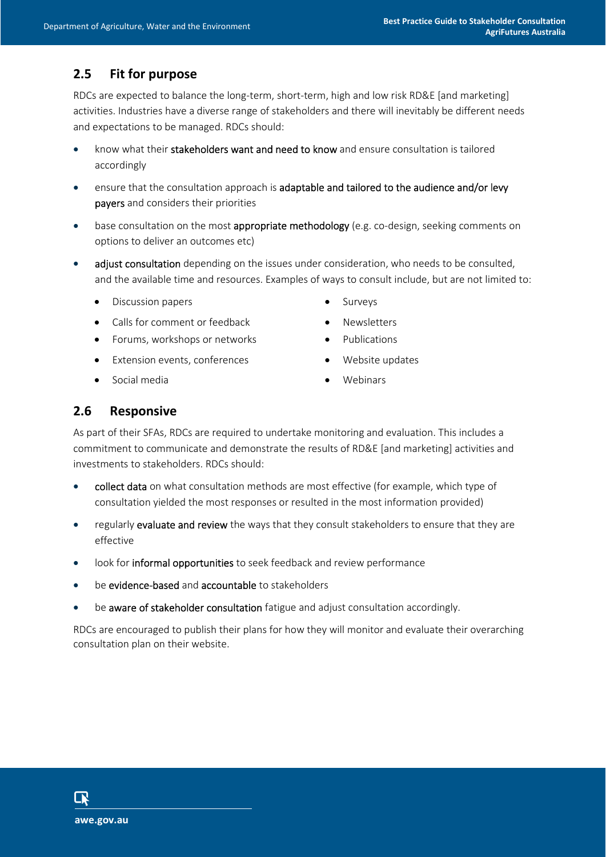## **2.5 Fit for purpose**

RDCs are expected to balance the long-term, short-term, high and low risk RD&E [and marketing] activities. Industries have a diverse range of stakeholders and there will inevitably be different needs and expectations to be managed. RDCs should:

- know what their stakeholders want and need to know and ensure consultation is tailored accordingly
- ensure that the consultation approach is adaptable and tailored to the audience and/or levy payers and considers their priorities
- base consultation on the most appropriate methodology (e.g. co-design, seeking comments on options to deliver an outcomes etc)
- adjust consultation depending on the issues under consideration, who needs to be consulted, and the available time and resources. Examples of ways to consult include, but are not limited to:
	- Discussion papers Surveys
	- Calls for comment or feedback Newsletters
	- Forums, workshops or networks **•** Publications
	- Extension events, conferences Nebsite updates
	- Social media **No. 1988** Webinars
- 
- 
- 
- -

#### **2.6 Responsive**

As part of their SFAs, RDCs are required to undertake monitoring and evaluation. This includes a commitment to communicate and demonstrate the results of RD&E [and marketing] activities and investments to stakeholders. RDCs should:

- collect data on what consultation methods are most effective (for example, which type of consultation yielded the most responses or resulted in the most information provided)
- regularly evaluate and review the ways that they consult stakeholders to ensure that they are effective
- look for informal opportunities to seek feedback and review performance
- be evidence-based and accountable to stakeholders
- be aware of stakeholder consultation fatigue and adjust consultation accordingly.

RDCs are encouraged to publish their plans for how they will monitor and evaluate their overarching consultation plan on their website.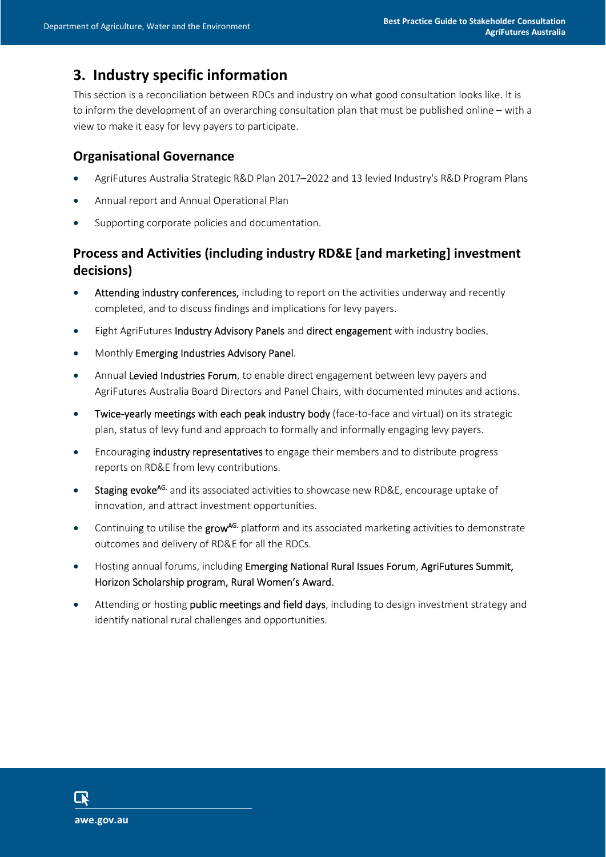## **3. Industry specific information**

This section is a reconciliation between RDCs and industry on what good consultation looks like. It is to inform the development of an overarching consultation plan that must be published online – with a view to make it easy for levy payers to participate.

#### **Organisational Governance**

- AgriFutures Australia Strategic R&D Plan 2017–2022 and 13 levied Industry's R&D Program Plans
- Annual report and Annual Operational Plan
- Supporting corporate policies and documentation.

## **Process and Activities (including industry RD&E [and marketing] investment decisions)**

- Attending industry conferences, including to report on the activities underway and recently completed, and to discuss findings and implications for levy payers.
- Eight AgriFutures Industry Advisory Panels and direct engagement with industry bodies.
- Monthly Emerging Industries Advisory Panel.
- Annual Levied Industries Forum, to enable direct engagement between levy payers and AgriFutures Australia Board Directors and Panel Chairs, with documented minutes and actions.
- Twice-yearly meetings with each peak industry body (face-to-face and virtual) on its strategic plan, status of levy fund and approach to formally and informally engaging levy payers.
- **Encouraging industry representatives** to engage their members and to distribute progress reports on RD&E from levy contributions.
- Staging evoke<sup>AG.</sup> and its associated activities to showcase new RD&E, encourage uptake of innovation, and attract investment opportunities.
- Continuing to utilise the grow<sup>AG.</sup> platform and its associated marketing activities to demonstrate outcomes and delivery of RD&E for all the RDCs.
- Hosting annual forums, including Emerging National Rural Issues Forum, AgriFutures Summit, Horizon Scholarship program, Rural Women's Award.
- Attending or hosting public meetings and field days, including to design investment strategy and identify national rural challenges and opportunities.